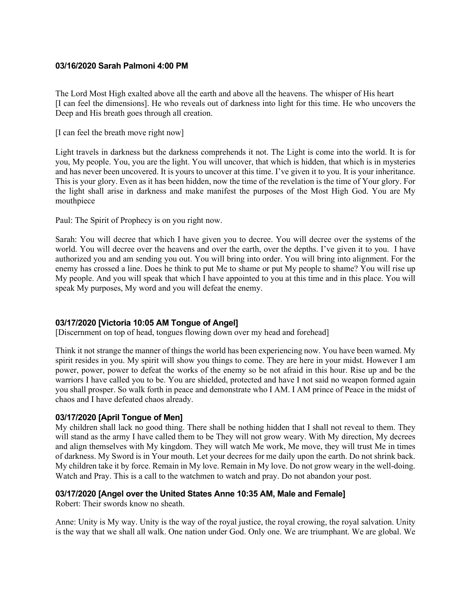## **03/16/2020 Sarah Palmoni 4:00 PM**

The Lord Most High exalted above all the earth and above all the heavens. The whisper of His heart [I can feel the dimensions]. He who reveals out of darkness into light for this time. He who uncovers the Deep and His breath goes through all creation.

[I can feel the breath move right now]

Light travels in darkness but the darkness comprehends it not. The Light is come into the world. It is for you, My people. You, you are the light. You will uncover, that which is hidden, that which is in mysteries and has never been uncovered. It is yours to uncover at this time. I've given it to you. It is your inheritance. This is your glory. Even as it has been hidden, now the time of the revelation is the time of Your glory. For the light shall arise in darkness and make manifest the purposes of the Most High God. You are My mouthpiece

Paul: The Spirit of Prophecy is on you right now.

Sarah: You will decree that which I have given you to decree. You will decree over the systems of the world. You will decree over the heavens and over the earth, over the depths. I've given it to you. I have authorized you and am sending you out. You will bring into order. You will bring into alignment. For the enemy has crossed a line. Does he think to put Me to shame or put My people to shame? You will rise up My people. And you will speak that which I have appointed to you at this time and in this place. You will speak My purposes, My word and you will defeat the enemy.

# **03/17/2020 [Victoria 10:05 AM Tongue of Angel]**

[Discernment on top of head, tongues flowing down over my head and forehead]

Think it not strange the manner of things the world has been experiencing now. You have been warned. My spirit resides in you. My spirit will show you things to come. They are here in your midst. However I am power, power, power to defeat the works of the enemy so be not afraid in this hour. Rise up and be the warriors I have called you to be. You are shielded, protected and have I not said no weapon formed again you shall prosper. So walk forth in peace and demonstrate who I AM. I AM prince of Peace in the midst of chaos and I have defeated chaos already.

### **03/17/2020 [April Tongue of Men]**

My children shall lack no good thing. There shall be nothing hidden that I shall not reveal to them. They will stand as the army I have called them to be They will not grow weary. With My direction, My decrees and align themselves with My kingdom. They will watch Me work, Me move, they will trust Me in times of darkness. My Sword is in Your mouth. Let your decrees for me daily upon the earth. Do not shrink back. My children take it by force. Remain in My love. Remain in My love. Do not grow weary in the well-doing. Watch and Pray. This is a call to the watchmen to watch and pray. Do not abandon your post.

### **03/17/2020 [Angel over the United States Anne 10:35 AM, Male and Female]**

Robert: Their swords know no sheath.

Anne: Unity is My way. Unity is the way of the royal justice, the royal crowing, the royal salvation. Unity is the way that we shall all walk. One nation under God. Only one. We are triumphant. We are global. We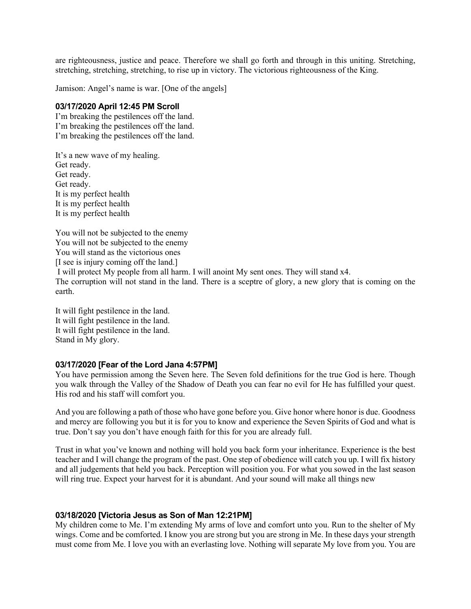are righteousness, justice and peace. Therefore we shall go forth and through in this uniting. Stretching, stretching, stretching, stretching, to rise up in victory. The victorious righteousness of the King.

Jamison: Angel's name is war. [One of the angels]

#### **03/17/2020 April 12:45 PM Scroll**

I'm breaking the pestilences off the land. I'm breaking the pestilences off the land. I'm breaking the pestilences off the land.

It's a new wave of my healing. Get ready. Get ready. Get ready. It is my perfect health It is my perfect health It is my perfect health

You will not be subjected to the enemy You will not be subjected to the enemy You will stand as the victorious ones [I see is injury coming off the land.] I will protect My people from all harm. I will anoint My sent ones. They will stand x4. The corruption will not stand in the land. There is a sceptre of glory, a new glory that is coming on the earth.

It will fight pestilence in the land. It will fight pestilence in the land. It will fight pestilence in the land. Stand in My glory.

### **03/17/2020 [Fear of the Lord Jana 4:57PM]**

You have permission among the Seven here. The Seven fold definitions for the true God is here. Though you walk through the Valley of the Shadow of Death you can fear no evil for He has fulfilled your quest. His rod and his staff will comfort you.

And you are following a path of those who have gone before you. Give honor where honor is due. Goodness and mercy are following you but it is for you to know and experience the Seven Spirits of God and what is true. Don't say you don't have enough faith for this for you are already full.

Trust in what you've known and nothing will hold you back form your inheritance. Experience is the best teacher and I will change the program of the past. One step of obedience will catch you up. I will fix history and all judgements that held you back. Perception will position you. For what you sowed in the last season will ring true. Expect your harvest for it is abundant. And your sound will make all things new

#### **03/18/2020 [Victoria Jesus as Son of Man 12:21PM]**

My children come to Me. I'm extending My arms of love and comfort unto you. Run to the shelter of My wings. Come and be comforted. I know you are strong but you are strong in Me. In these days your strength must come from Me. I love you with an everlasting love. Nothing will separate My love from you. You are